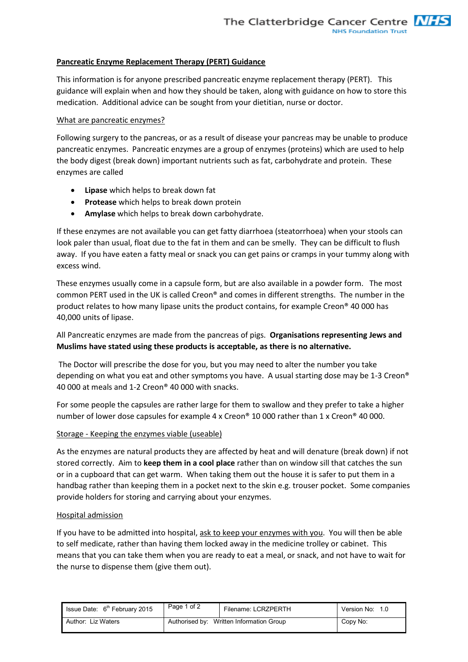## **Pancreatic Enzyme Replacement Therapy (PERT) Guidance**

This information is for anyone prescribed pancreatic enzyme replacement therapy (PERT). This guidance will explain when and how they should be taken, along with guidance on how to store this medication. Additional advice can be sought from your dietitian, nurse or doctor.

## What are pancreatic enzymes?

Following surgery to the pancreas, or as a result of disease your pancreas may be unable to produce pancreatic enzymes. Pancreatic enzymes are a group of enzymes (proteins) which are used to help the body digest (break down) important nutrients such as fat, carbohydrate and protein. These enzymes are called

- **Lipase** which helps to break down fat
- **Protease** which helps to break down protein
- **Amylase** which helps to break down carbohydrate.

If these enzymes are not available you can get fatty diarrhoea (steatorrhoea) when your stools can look paler than usual, float due to the fat in them and can be smelly. They can be difficult to flush away. If you have eaten a fatty meal or snack you can get pains or cramps in your tummy along with excess wind.

These enzymes usually come in a capsule form, but are also available in a powder form. The most common PERT used in the UK is called Creon® and comes in different strengths. The number in the product relates to how many lipase units the product contains, for example Creon® 40 000 has 40,000 units of lipase.

All Pancreatic enzymes are made from the pancreas of pigs. **Organisations representing Jews and Muslims have stated using these products is acceptable, as there is no alternative.** 

 The Doctor will prescribe the dose for you, but you may need to alter the number you take depending on what you eat and other symptoms you have. A usual starting dose may be 1-3 Creon® 40 000 at meals and 1-2 Creon® 40 000 with snacks.

For some people the capsules are rather large for them to swallow and they prefer to take a higher number of lower dose capsules for example 4 x Creon® 10 000 rather than 1 x Creon® 40 000.

#### Storage - Keeping the enzymes viable (useable)

As the enzymes are natural products they are affected by heat and will denature (break down) if not stored correctly. Aim to **keep them in a cool place** rather than on window sill that catches the sun or in a cupboard that can get warm. When taking them out the house it is safer to put them in a handbag rather than keeping them in a pocket next to the skin e.g. trouser pocket. Some companies provide holders for storing and carrying about your enzymes.

#### Hospital admission

If you have to be admitted into hospital, ask to keep your enzymes with you. You will then be able to self medicate, rather than having them locked away in the medicine trolley or cabinet. This means that you can take them when you are ready to eat a meal, or snack, and not have to wait for the nurse to dispense them (give them out).

| Issue Date: $6th$ February 2015 | Page 1 of 2 | Filename: LCRZPERTH                      | Version No: 1.0 |
|---------------------------------|-------------|------------------------------------------|-----------------|
| Author: Liz Waters              |             | Authorised by: Written Information Group | Copy No:        |